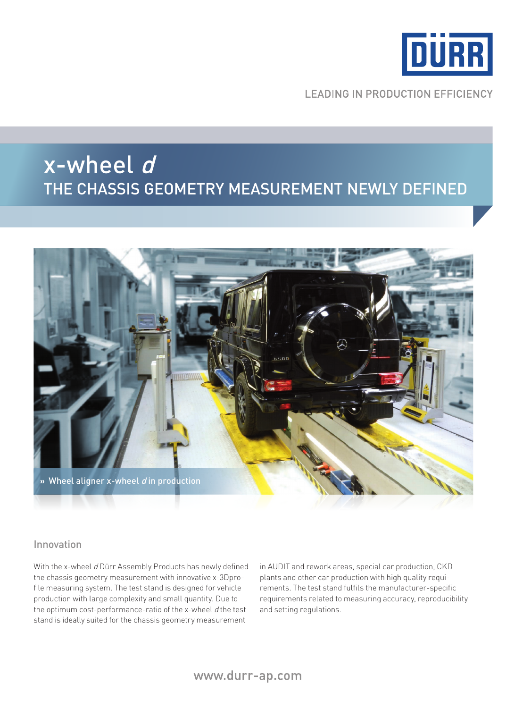

**LEADING IN PRODUCTION EFFICIENCY** 

# x-wheel d the chassis geometry measurement newly defined



#### Innovation

With the x-wheel d Dürr Assembly Products has newly defined the chassis geometry measurement with innovative x-3Dprofile measuring system. The test stand is designed for vehicle production with large complexity and small quantity. Due to the optimum cost-performance-ratio of the x-wheel  $d$  the test stand is ideally suited for the chassis geometry measurement

in AUDIT and rework areas, special car production, CKD plants and other car production with high quality requirements. The test stand fulfils the manufacturer-specific requirements related to measuring accuracy, reproducibility and setting regulations.